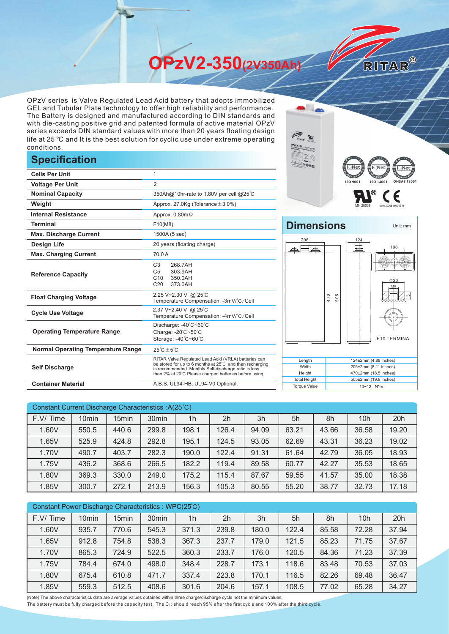**OPzV2-350(2V350Ah)** 

OPzV series is Valve Regulated Lead Acid battery that adopts immobilized GEL and Tubular Plate technology to offer high reliability and performance. The Battery is designed and manufactured according to DIN standards and with die-casting positive grid and patented formula of active material OPzV series exceeds DIN standard values with more than 20 years floating design life at 25 ℃ and It is the best solution for cyclic use under extreme operating conditions.

## **Specification**

|                                           |                                                                                                                                                                                                                                                                  | <b>MARK AND AND THE REAL PROPERTY</b>      | हृ∐ा∖∈<br>  i Net            |  |  |
|-------------------------------------------|------------------------------------------------------------------------------------------------------------------------------------------------------------------------------------------------------------------------------------------------------------------|--------------------------------------------|------------------------------|--|--|
| <b>Cells Per Unit</b>                     | 1                                                                                                                                                                                                                                                                |                                            |                              |  |  |
| <b>Voltage Per Unit</b>                   | $\overline{2}$                                                                                                                                                                                                                                                   |                                            | ISO 140<br><b>ISO 9001</b>   |  |  |
| <b>Nominal Capacity</b>                   | 350Ah@10hr-rate to 1.80V per cell @25°C                                                                                                                                                                                                                          |                                            |                              |  |  |
| Weight                                    | Approx. 27.0Kg (Tolerance $\pm$ 3.0%)                                                                                                                                                                                                                            |                                            |                              |  |  |
| <b>Internal Resistance</b>                | Approx. $0.80$ m $\Omega$                                                                                                                                                                                                                                        |                                            |                              |  |  |
| <b>Terminal</b>                           | F10(M8)                                                                                                                                                                                                                                                          | <b>Dimensions</b>                          |                              |  |  |
| <b>Max. Discharge Current</b>             | 1500A (5 sec)                                                                                                                                                                                                                                                    |                                            |                              |  |  |
| <b>Design Life</b>                        | 20 years (floating charge)                                                                                                                                                                                                                                       | 206                                        | 124<br>⋤                     |  |  |
| <b>Max. Charging Current</b>              | 70.0 A                                                                                                                                                                                                                                                           |                                            |                              |  |  |
| <b>Reference Capacity</b>                 | 268.7AH<br>C <sub>3</sub><br>303.9AH<br>C <sub>5</sub><br>350.0AH<br>C <sub>10</sub><br>C <sub>20</sub><br>373.0AH                                                                                                                                               |                                            |                              |  |  |
| <b>Float Charging Voltage</b>             | 2.25 V~2.30 V @ 25°C<br>Temperature Compensation: -3mV/°C/Cell                                                                                                                                                                                                   |                                            | 505<br>470                   |  |  |
| <b>Cycle Use Voltage</b>                  | 2.37 V~2.40 V @ 25°C<br>Temperature Compensation: -4mV/°C/Cell                                                                                                                                                                                                   |                                            |                              |  |  |
| <b>Operating Temperature Range</b>        | Discharge: -40°C~60°C<br>Charge: -20°C~50°C<br>Storage: -40°C~60°C                                                                                                                                                                                               |                                            | F <sub>1</sub>               |  |  |
| <b>Normal Operating Temperature Range</b> | $25^{\circ}$ C $\pm 5^{\circ}$ C                                                                                                                                                                                                                                 |                                            |                              |  |  |
| <b>Self Discharge</b>                     | RITAR Valve Regulated Lead Acid (VRLA) batteries can<br>Length<br>be stored for up to 6 months at 25°C and then recharging<br>Width<br>is recommended. Monthly Self-discharge ratio is less<br>Height<br>than 2% at 20°C. Please charged batteries before using. |                                            |                              |  |  |
| <b>Container Material</b>                 | A.B.S. UL94-HB, UL94-V0 Optional.                                                                                                                                                                                                                                | <b>Total Height</b><br><b>Torque Value</b> | 505±2mm (19.9 i<br>10~12 N*m |  |  |



Unit: mm

RITAR®

## **Dimensions**



| Constant Current Discharge Characteristics: A(25°C) |                   |                   |                   |                |                |       |       |       |                 |       |
|-----------------------------------------------------|-------------------|-------------------|-------------------|----------------|----------------|-------|-------|-------|-----------------|-------|
| F.V/Time                                            | 10 <sub>min</sub> | 15 <sub>min</sub> | 30 <sub>min</sub> | 1 <sub>h</sub> | 2 <sub>h</sub> | 3h    | 5h    | 8h    | 10 <sub>h</sub> | 20h   |
| 1.60V                                               | 550.5             | 440.6             | 299.8             | 198.1          | 126.4          | 94.09 | 63.21 | 43.66 | 36.58           | 19.20 |
| 1.65V                                               | 525.9             | 424.8             | 292.8             | 195.1          | 124.5          | 93.05 | 62.69 | 43.31 | 36.23           | 19.02 |
| 1.70V                                               | 490.7             | 403.7             | 282.3             | 190.0          | 122.4          | 91.31 | 61.64 | 42.79 | 36.05           | 18.93 |
| 1.75V                                               | 436.2             | 368.6             | 266.5             | 182.2          | 119.4          | 89.58 | 60.77 | 42.27 | 35.53           | 18.65 |
| 1.80V                                               | 369.3             | 330.0             | 249.0             | 175.2          | 115.4          | 87.67 | 59.55 | 41.57 | 35.00           | 18.38 |
| 1.85V                                               | 300.7             | 272.1             | 213.9             | 156.3          | 105.3          | 80.55 | 55.20 | 38.77 | 32.73           | 17.18 |

| Constant Power Discharge Characteristics : WPC(25°C) |                   |                   |                   |                |                |       |       |       |       |       |
|------------------------------------------------------|-------------------|-------------------|-------------------|----------------|----------------|-------|-------|-------|-------|-------|
| F.V/Time                                             | 10 <sub>min</sub> | 15 <sub>min</sub> | 30 <sub>min</sub> | 1 <sub>h</sub> | 2 <sub>h</sub> | 3h    | 5h    | 8h    | 10h   | 20h   |
| 1.60V                                                | 935.7             | 770.6             | 545.3             | 371.3          | 239.8          | 180.0 | 122.4 | 85.58 | 72.28 | 37.94 |
| 1.65V                                                | 912.8             | 754.8             | 538.3             | 367.3          | 237.7          | 179.0 | 121.5 | 85.23 | 71.75 | 37.67 |
| 1.70V                                                | 865.3             | 724.9             | 522.5             | 360.3          | 233.7          | 176.0 | 120.5 | 84.36 | 71.23 | 37.39 |
| 1.75V                                                | 784.4             | 674.0             | 498.0             | 348.4          | 228.7          | 173.1 | 118.6 | 83.48 | 70.53 | 37.03 |
| 1.80V                                                | 675.4             | 610.8             | 471.7             | 337.4          | 223.8          | 170.1 | 116.5 | 82.26 | 69.48 | 36.47 |
| 1.85V                                                | 559.3             | 512.5             | 408.6             | 301.6          | 204.6          | 157.1 | 108.5 | 77.02 | 65.28 | 34.27 |

(Note) The above characteristics data are average values obtained within three charge/discharge cycle not the minimum values.

The battery must be fully charged before the capacity test. The C10 should reach 95% after the first cycle and 100% after the third cycle.